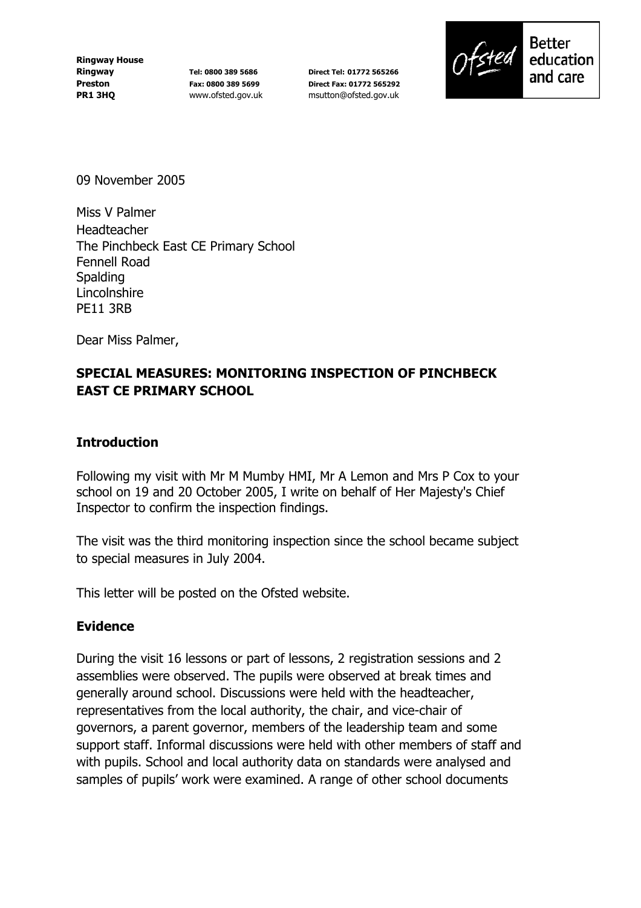**Ringway House Ringway Preston PR1 3HQ** 

**Tel: 0800 389 5686 Fax: 0800 389 5699** www.ofsted.gov.uk

**Direct Tel: 01772 565266 Direct Fax: 01772 565292** msutton@ofsted.gov.uk



education and care

09 November 2005

Miss V Palmer Headteacher The Pinchbeck East CE Primary School Fennell Road **Spalding** Lincolnshire PE11 3RB

Dear Miss Palmer,

## **SPECIAL MEASURES: MONITORING INSPECTION OF PINCHBECK EAST CE PRIMARY SCHOOL**

#### **Introduction**

Following my visit with Mr M Mumby HMI, Mr A Lemon and Mrs P Cox to your school on 19 and 20 October 2005, I write on behalf of Her Majesty's Chief Inspector to confirm the inspection findings.

The visit was the third monitoring inspection since the school became subject to special measures in July 2004.

This letter will be posted on the Ofsted website.

### **Evidence**

During the visit 16 lessons or part of lessons, 2 registration sessions and 2 assemblies were observed. The pupils were observed at break times and generally around school. Discussions were held with the headteacher, representatives from the local authority, the chair, and vice-chair of governors, a parent governor, members of the leadership team and some support staff. Informal discussions were held with other members of staff and with pupils. School and local authority data on standards were analysed and samples of pupils' work were examined. A range of other school documents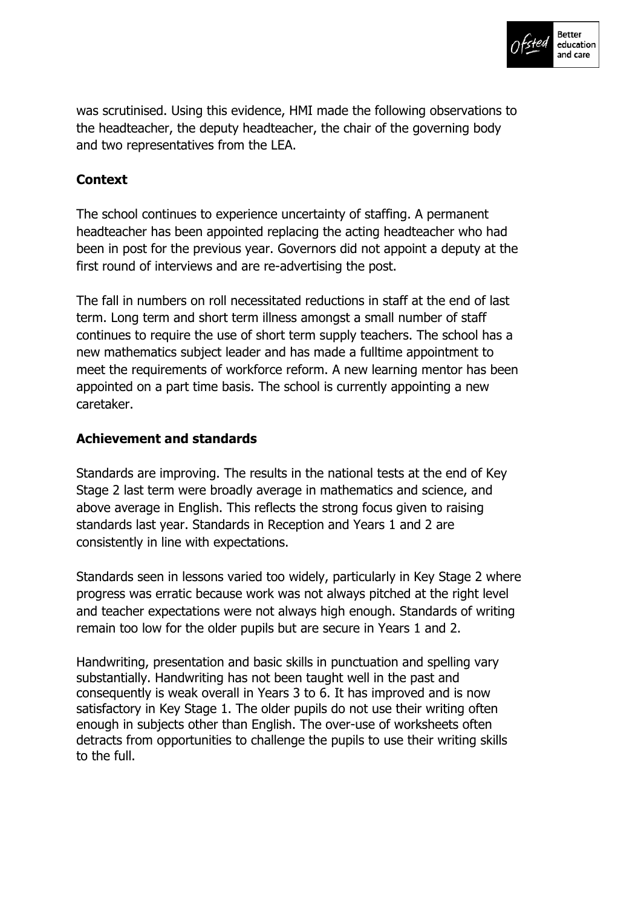

was scrutinised. Using this evidence, HMI made the following observations to the headteacher, the deputy headteacher, the chair of the governing body and two representatives from the LEA.

# **Context**

The school continues to experience uncertainty of staffing. A permanent headteacher has been appointed replacing the acting headteacher who had been in post for the previous year. Governors did not appoint a deputy at the first round of interviews and are re-advertising the post.

The fall in numbers on roll necessitated reductions in staff at the end of last term. Long term and short term illness amongst a small number of staff continues to require the use of short term supply teachers. The school has a new mathematics subject leader and has made a fulltime appointment to meet the requirements of workforce reform. A new learning mentor has been appointed on a part time basis. The school is currently appointing a new caretaker.

### **Achievement and standards**

Standards are improving. The results in the national tests at the end of Key Stage 2 last term were broadly average in mathematics and science, and above average in English. This reflects the strong focus given to raising standards last year. Standards in Reception and Years 1 and 2 are consistently in line with expectations.

Standards seen in lessons varied too widely, particularly in Key Stage 2 where progress was erratic because work was not always pitched at the right level and teacher expectations were not always high enough. Standards of writing remain too low for the older pupils but are secure in Years 1 and 2.

Handwriting, presentation and basic skills in punctuation and spelling vary substantially. Handwriting has not been taught well in the past and consequently is weak overall in Years 3 to 6. It has improved and is now satisfactory in Key Stage 1. The older pupils do not use their writing often enough in subjects other than English. The over-use of worksheets often detracts from opportunities to challenge the pupils to use their writing skills to the full.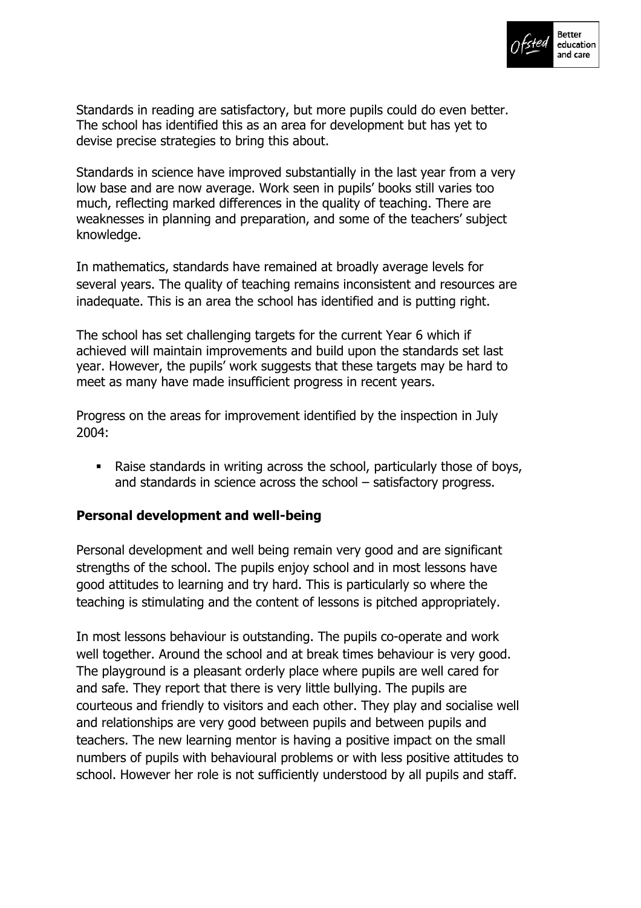

Standards in reading are satisfactory, but more pupils could do even better. The school has identified this as an area for development but has yet to devise precise strategies to bring this about.

Standards in science have improved substantially in the last year from a very low base and are now average. Work seen in pupils' books still varies too much, reflecting marked differences in the quality of teaching. There are weaknesses in planning and preparation, and some of the teachers' subject knowledge.

In mathematics, standards have remained at broadly average levels for several years. The quality of teaching remains inconsistent and resources are inadequate. This is an area the school has identified and is putting right.

The school has set challenging targets for the current Year 6 which if achieved will maintain improvements and build upon the standards set last year. However, the pupils' work suggests that these targets may be hard to meet as many have made insufficient progress in recent years.

Progress on the areas for improvement identified by the inspection in July 2004:

! Raise standards in writing across the school, particularly those of boys, and standards in science across the school  $-$  satisfactory progress.

### **Personal development and well-being**

Personal development and well being remain very good and are significant strengths of the school. The pupils enjoy school and in most lessons have good attitudes to learning and try hard. This is particularly so where the teaching is stimulating and the content of lessons is pitched appropriately.

In most lessons behaviour is outstanding. The pupils co-operate and work well together. Around the school and at break times behaviour is very good. The playground is a pleasant orderly place where pupils are well cared for and safe. They report that there is very little bullying. The pupils are courteous and friendly to visitors and each other. They play and socialise well and relationships are very good between pupils and between pupils and teachers. The new learning mentor is having a positive impact on the small numbers of pupils with behavioural problems or with less positive attitudes to school. However her role is not sufficiently understood by all pupils and staff.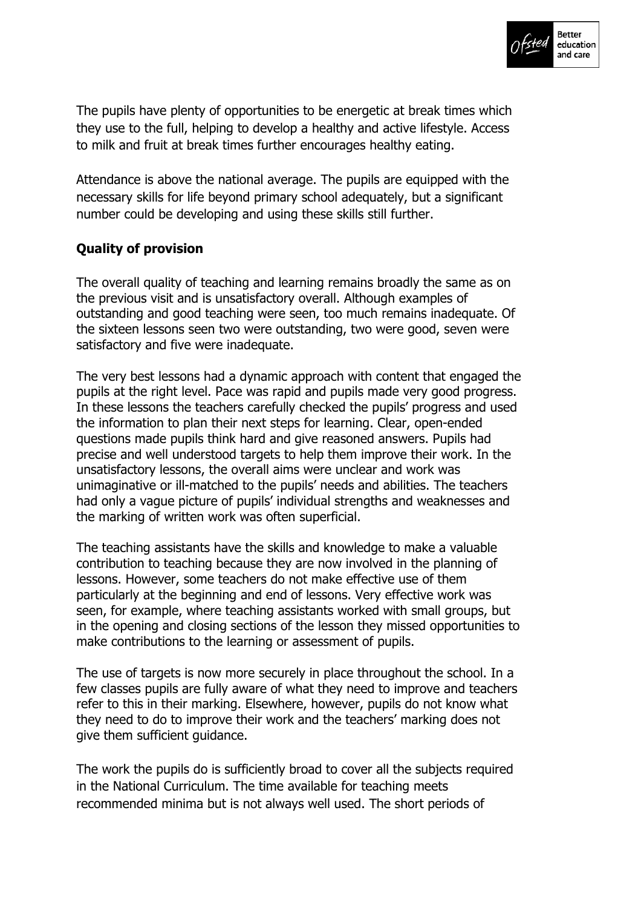

The pupils have plenty of opportunities to be energetic at break times which they use to the full, helping to develop a healthy and active lifestyle. Access to milk and fruit at break times further encourages healthy eating.

Attendance is above the national average. The pupils are equipped with the necessary skills for life beyond primary school adequately, but a significant number could be developing and using these skills still further.

## **Quality of provision**

The overall quality of teaching and learning remains broadly the same as on the previous visit and is unsatisfactory overall. Although examples of outstanding and good teaching were seen, too much remains inadequate. Of the sixteen lessons seen two were outstanding, two were good, seven were satisfactory and five were inadequate.

The very best lessons had a dynamic approach with content that engaged the pupils at the right level. Pace was rapid and pupils made very good progress. In these lessons the teachers carefully checked the pupils' progress and used the information to plan their next steps for learning. Clear, open-ended questions made pupils think hard and give reasoned answers. Pupils had precise and well understood targets to help them improve their work. In the unsatisfactory lessons, the overall aims were unclear and work was unimaginative or ill-matched to the pupils' needs and abilities. The teachers had only a vague picture of pupils' individual strengths and weaknesses and the marking of written work was often superficial.

The teaching assistants have the skills and knowledge to make a valuable contribution to teaching because they are now involved in the planning of lessons. However, some teachers do not make effective use of them particularly at the beginning and end of lessons. Very effective work was seen, for example, where teaching assistants worked with small groups, but in the opening and closing sections of the lesson they missed opportunities to make contributions to the learning or assessment of pupils.

The use of targets is now more securely in place throughout the school. In a few classes pupils are fully aware of what they need to improve and teachers refer to this in their marking. Elsewhere, however, pupils do not know what they need to do to improve their work and the teachers' marking does not give them sufficient guidance.

The work the pupils do is sufficiently broad to cover all the subjects required in the National Curriculum. The time available for teaching meets recommended minima but is not always well used. The short periods of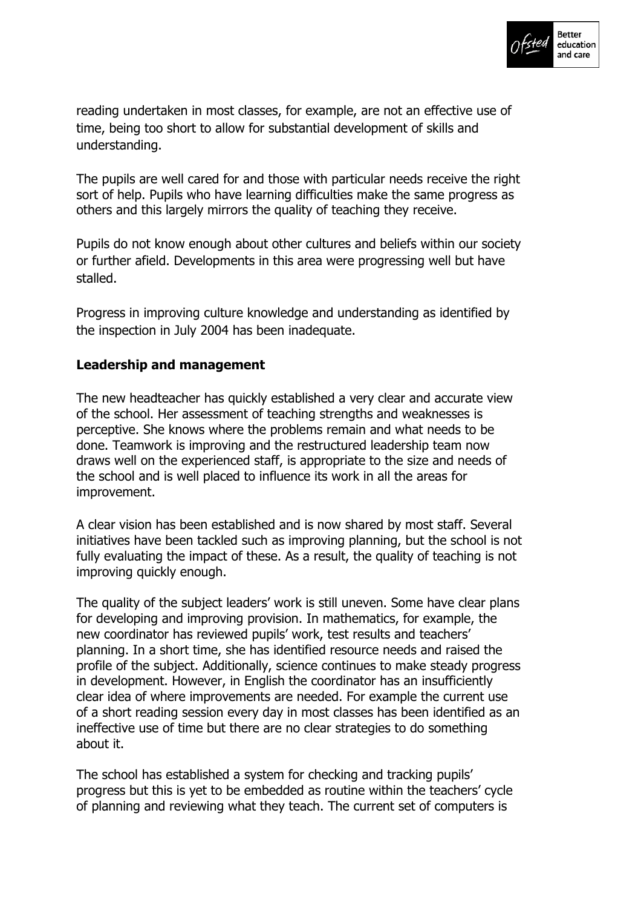

reading undertaken in most classes, for example, are not an effective use of time, being too short to allow for substantial development of skills and understanding.

The pupils are well cared for and those with particular needs receive the right sort of help. Pupils who have learning difficulties make the same progress as others and this largely mirrors the quality of teaching they receive.

Pupils do not know enough about other cultures and beliefs within our society or further afield. Developments in this area were progressing well but have stalled.

Progress in improving culture knowledge and understanding as identified by the inspection in July 2004 has been inadequate.

### **Leadership and management**

The new headteacher has quickly established a very clear and accurate view of the school. Her assessment of teaching strengths and weaknesses is perceptive. She knows where the problems remain and what needs to be done. Teamwork is improving and the restructured leadership team now draws well on the experienced staff, is appropriate to the size and needs of the school and is well placed to influence its work in all the areas for improvement.

A clear vision has been established and is now shared by most staff. Several initiatives have been tackled such as improving planning, but the school is not fully evaluating the impact of these. As a result, the quality of teaching is not improving quickly enough.

The quality of the subject leaders' work is still uneven. Some have clear plans for developing and improving provision. In mathematics, for example, the new coordinator has reviewed pupils' work, test results and teachers' planning. In a short time, she has identified resource needs and raised the profile of the subject. Additionally, science continues to make steady progress in development. However, in English the coordinator has an insufficiently clear idea of where improvements are needed. For example the current use of a short reading session every day in most classes has been identified as an ineffective use of time but there are no clear strategies to do something about it.

The school has established a system for checking and tracking pupils' progress but this is yet to be embedded as routine within the teachers' cycle of planning and reviewing what they teach. The current set of computers is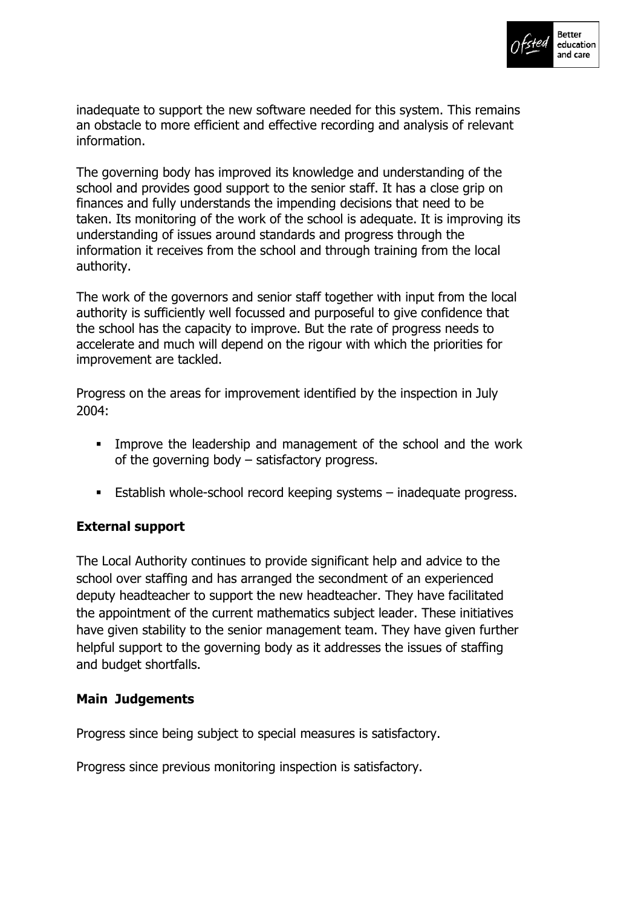

inadequate to support the new software needed for this system. This remains an obstacle to more efficient and effective recording and analysis of relevant information.

The governing body has improved its knowledge and understanding of the school and provides good support to the senior staff. It has a close grip on finances and fully understands the impending decisions that need to be taken. Its monitoring of the work of the school is adequate. It is improving its understanding of issues around standards and progress through the information it receives from the school and through training from the local authority.

The work of the governors and senior staff together with input from the local authority is sufficiently well focussed and purposeful to give confidence that the school has the capacity to improve. But the rate of progress needs to accelerate and much will depend on the rigour with which the priorities for improvement are tackled.

Progress on the areas for improvement identified by the inspection in July 2004:

- ! Improve the leadership and management of the school and the work of the governing body  $-$  satisfactory progress.
- **Establish whole-school record keeping systems inadequate progress.**

### **External support**

The Local Authority continues to provide significant help and advice to the school over staffing and has arranged the secondment of an experienced deputy headteacher to support the new headteacher. They have facilitated the appointment of the current mathematics subject leader. These initiatives have given stability to the senior management team. They have given further helpful support to the governing body as it addresses the issues of staffing and budget shortfalls.

### **Main Judgements**

Progress since being subject to special measures is satisfactory.

Progress since previous monitoring inspection is satisfactory.